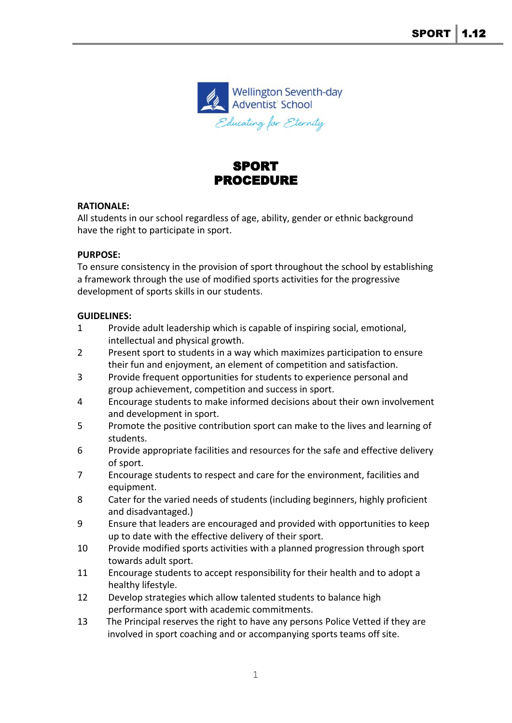

# SPORT PROCEDURE

### **RATIONALE:**

All students in our school regardless of age, ability, gender or ethnic background have the right to participate in sport.

### **PURPOSE:**

To ensure consistency in the provision of sport throughout the school by establishing a framework through the use of modified sports activities for the progressive development of sports skills in our students.

### **GUIDELINES:**

- 1 Provide adult leadership which is capable of inspiring social, emotional, intellectual and physical growth.
- 2 Present sport to students in a way which maximizes participation to ensure their fun and enjoyment, an element of competition and satisfaction.
- 3 Provide frequent opportunities for students to experience personal and group achievement, competition and success in sport.
- 4 Encourage students to make informed decisions about their own involvement and development in sport.
- 5 Promote the positive contribution sport can make to the lives and learning of students.
- 6 Provide appropriate facilities and resources for the safe and effective delivery of sport.
- 7 Encourage students to respect and care for the environment, facilities and equipment.
- 8 Cater for the varied needs of students (including beginners, highly proficient and disadvantaged.)
- 9 Ensure that leaders are encouraged and provided with opportunities to keep up to date with the effective delivery of their sport.
- 10 Provide modified sports activities with a planned progression through sport towards adult sport.
- 11 Encourage students to accept responsibility for their health and to adopt a healthy lifestyle.
- 12 Develop strategies which allow talented students to balance high performance sport with academic commitments.
- 13 The Principal reserves the right to have any persons Police Vetted if they are involved in sport coaching and or accompanying sports teams off site.